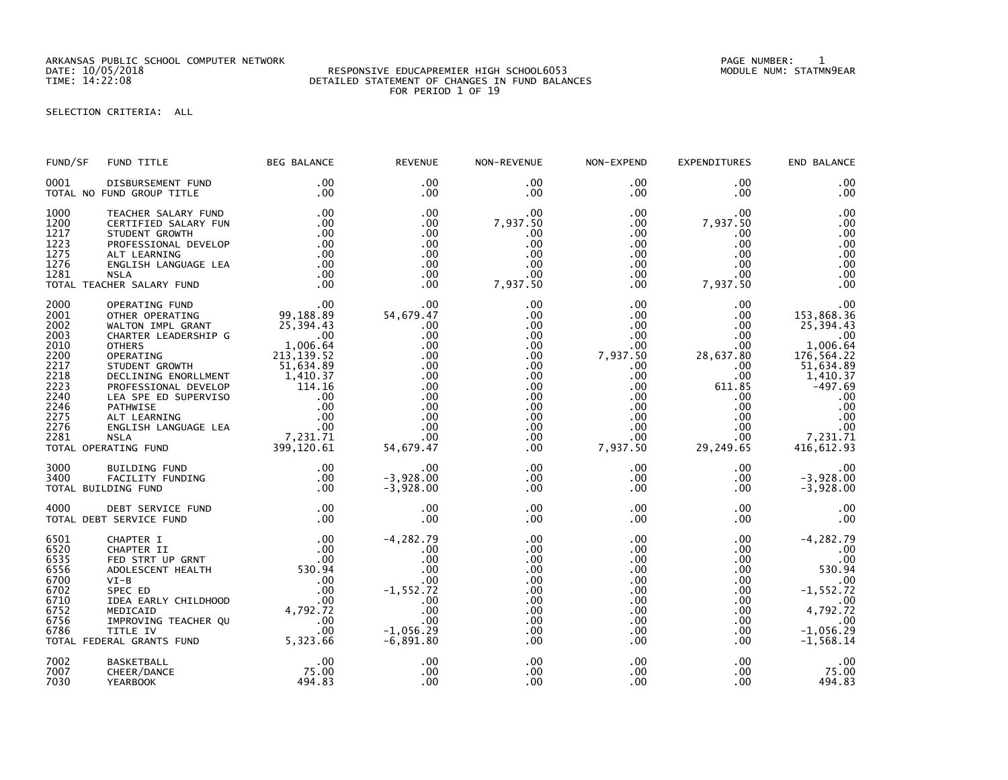ARKANSAS PUBLIC SCHOOL COMPUTER NETWORK PAGE NUMBER: 1

## RESPONSIVE EDUCAPREMIER HIGH SCHOOL6053 DETAILED STATEMENT OF CHANGES IN FUND BALANCES FOR PERIOD 1 OF 19

SELECTION CRITERIA: ALL

| FUND/SF                                                                                                      | FUND TITLE                                                                                                                                                                                 | <b>BEG BALANCE</b>                                                                                                        | <b>REVENUE</b>                                                                                                    | NON-REVENUE                                                                                                          | NON-EXPEND                                                                                                                                                      | EXPENDITURES                                                                                                                              | END BALANCE                                                                                                                                                 |
|--------------------------------------------------------------------------------------------------------------|--------------------------------------------------------------------------------------------------------------------------------------------------------------------------------------------|---------------------------------------------------------------------------------------------------------------------------|-------------------------------------------------------------------------------------------------------------------|----------------------------------------------------------------------------------------------------------------------|-----------------------------------------------------------------------------------------------------------------------------------------------------------------|-------------------------------------------------------------------------------------------------------------------------------------------|-------------------------------------------------------------------------------------------------------------------------------------------------------------|
| 0001                                                                                                         | DISBURSEMENT FUND<br>TOTAL NO FUND GROUP TITLE                                                                                                                                             | $.00 \,$<br>.00                                                                                                           | $.00 \times$<br>$.00 \times$                                                                                      | .00<br>.00                                                                                                           | $.00 \,$<br>$.00 \,$                                                                                                                                            | .00<br>.00.                                                                                                                               | .00<br>.00                                                                                                                                                  |
| 1000<br>1200<br>1217<br>1223<br>1275<br>1276<br>1281                                                         | TEACHER SALARY FUND<br>CERTIFIED SALARY FUN<br>STUDENT GROWTH<br>PROFESSIONAL DEVELOP<br>ALT LEARNING<br>ENGLISH LANGUAGE LEA<br><b>NSLA</b><br>TOTAL TEACHER SALARY FUND                  | .00<br>.00<br>.00<br>.00<br>.00<br>.00<br>.00<br>.00                                                                      | .00<br>.00<br>.00<br>.00<br>.00<br>.00<br>.00<br>.00                                                              | .00<br>7,937.50<br>.00<br>.00<br>.00<br>.00<br>.00<br>7,937.50                                                       | $.00 \,$<br>$.00 \,$<br>$.00 \,$<br>$.00 \,$<br>.00<br>$.00 \cdot$<br>$.00 \,$<br>$.00 \,$                                                                      | .00<br>7,937.50<br>$.00 \,$<br>.00<br>.00<br>$.00 \,$<br>.00<br>7,937.50                                                                  | .00<br>.00<br>.00<br>.00<br>.00<br>.00<br>.00<br>.00                                                                                                        |
| 2000<br>2001<br>2002<br>2003<br>2010<br>2200<br>2217<br>2218<br>2223<br>2240<br>2246<br>2275<br>2276<br>2281 | OPERATING FUND<br>OTHER OPERATING<br>WALTON IMPL GRANT<br>CHARTER LEADERSHIP G<br><b>OTHERS</b><br>OPERATING<br>STUDENT GROWTH<br>DECLINING ENORLLMENT<br>TOTAL OPERATING FUND             | 99,188.89<br>$25,394.45$<br>00<br>1,006.64<br>139.52<br>$213,139.52$<br>51,634.89<br>1,410.37<br>399,120.61               | .00<br>54,679.47<br>.00<br>.00<br>.00<br>.00<br>.00<br>.00<br>.00<br>.00<br>.00<br>.00<br>.00<br>.00<br>54,679.47 | .00<br>.00<br>.00<br>.00<br>.00<br>.00<br>.00<br>$.00 \,$<br>.00<br>$.00 \,$<br>.00<br>.00<br>.00<br>$.00 \,$<br>.00 | .00 <sub>1</sub><br>.00<br>.00<br>$.00 \,$<br>.00<br>7,937.50<br>.00<br>$.00 \,$<br>.00<br>$.00 \,$<br>$.00 \,$<br>$.00 \,$<br>$.00 \,$<br>$.00 \,$<br>7,937.50 | .00<br>.00<br>.00<br>.00<br>.00<br>28,637.80<br>.00<br>.00<br>611.85<br>.00.<br>$.00 \,$<br>$.00 \,$<br>$.00 \,$<br>$.00 \,$<br>29,249.65 | .00<br>153,868.36<br>25,394.43<br>.00<br>1,006.64<br>176,564.22<br>51,634.89<br>1,410.37<br>$-497.69$<br>.00<br>.00<br>.00<br>.00<br>7,231.71<br>416,612.93 |
| 3000<br>3400                                                                                                 | BUILDING FUND<br>FACILITY FUNDING<br>TOTAL BUILDING FUND                                                                                                                                   | .00<br>.00<br>.00                                                                                                         | .00<br>$-3,928.00$<br>$-3,928.00$                                                                                 | $.00 \,$<br>.00<br>.00                                                                                               | $.00 \,$<br>$.00 \,$<br>$.00 \,$                                                                                                                                | $.00 \,$<br>$.00 \,$<br>.00                                                                                                               | .00<br>$-3,928.00$<br>$-3,928.00$                                                                                                                           |
| 4000                                                                                                         | DEBT SERVICE FUND<br>TOTAL DEBT SERVICE FUND                                                                                                                                               | .00<br>.00                                                                                                                | .00<br>.00                                                                                                        | .00<br>.00                                                                                                           | $.00 \,$<br>$.00 \,$                                                                                                                                            | $.00 \,$<br>.00                                                                                                                           | .00<br>.00                                                                                                                                                  |
| 6501<br>6520<br>6535<br>6556<br>6700<br>6702<br>6710<br>6752<br>6756<br>6786                                 | CHAPTER I<br>CHAPTER II<br>FED STRT UP GRNT<br>ADOLESCENT HEALTH<br>$VI-B$<br>SPEC ED<br>IDEA EARLY CHILDHOOD<br>MEDICAID<br>IMPROVING TEACHER QU<br>TITLE IV<br>TOTAL FEDERAL GRANTS FUND | $\begin{array}{c} .00\ 00\ 00\ 530.94\ 00 \end{array}$<br>.00<br>$00$<br>00<br>4, 792 . 72<br>00<br>00<br>.00<br>5,323.66 | $-4, 282.79$<br>.00<br>.00<br>.00<br>.00<br>$-1,552.72$<br>.00<br>.00<br>.00<br>$-1,056.29$<br>$-6,891.80$        | .00<br>.00<br>.00<br>.00<br>.00<br>.00<br>.00<br>.00<br>.00<br>.00<br>.00                                            | .00<br>$.00 \,$<br>.00<br>$.00 \,$<br>$.00 \,$<br>$.00 \,$<br>.00<br>$.00 \,$<br>$.00 \,$<br>$.00 \,$<br>$.00 \,$                                               | $.00 \,$<br>.00<br>$.00 \,$<br>$.00 \,$<br>$.00 \,$<br>.00<br>.00<br>.00<br>$.00 \,$<br>.00<br>.00                                        | $-4, 282.79$<br>.00<br>.00<br>530.94<br>.00<br>$-1,552.72$<br>$^{1}$ , 792.72<br>.00<br>$-1,056.29$<br>$-1,568.14$                                          |
| 7002<br>7007<br>7030                                                                                         | <b>BASKETBALL</b><br>CHEER/DANCE<br><b>YEARBOOK</b>                                                                                                                                        | .00<br>75.00<br>494.83                                                                                                    | .00<br>.00<br>.00                                                                                                 | .00<br>.00<br>.00                                                                                                    | $.00 \,$<br>$.00 \,$<br>.00                                                                                                                                     | .00<br>.00<br>.00                                                                                                                         | .00<br>75.00<br>494.83                                                                                                                                      |